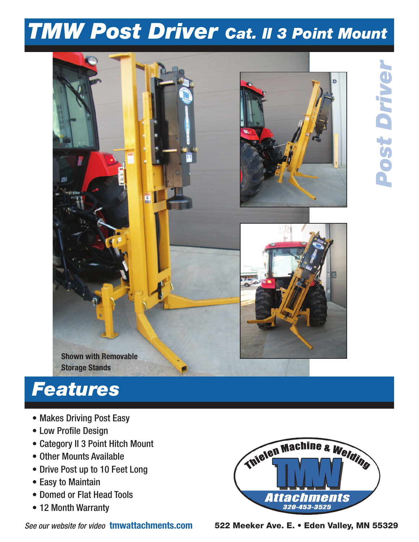## *TMW Post Driver Cat. II 3 Point Mount*



## *Features*

- Makes Driving Post Easy
- Low Profile Design
- Category II 3 Point Hitch Mount
- Other Mounts Available
- Drive Post up to 10 Feet Long
- Easy to Maintain
- Domed or Flat Head Tools
- 12 Month Warranty